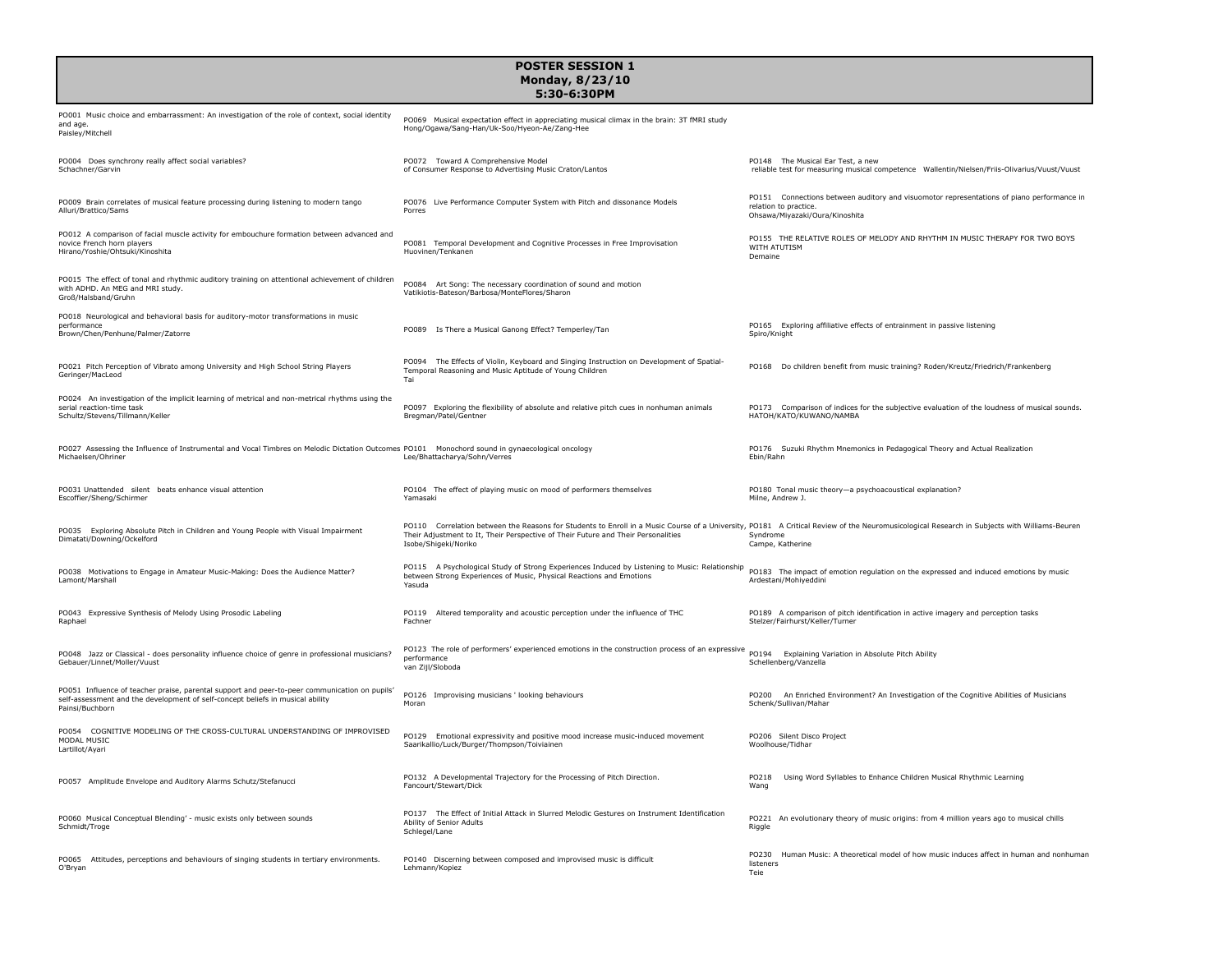| <b>POSTER SESSION 1</b><br>Monday, 8/23/10<br>5:30-6:30PM                                                                                                                                         |                                                                                                                                                                                                                                                                                                          |                                                                                                                                                      |  |  |
|---------------------------------------------------------------------------------------------------------------------------------------------------------------------------------------------------|----------------------------------------------------------------------------------------------------------------------------------------------------------------------------------------------------------------------------------------------------------------------------------------------------------|------------------------------------------------------------------------------------------------------------------------------------------------------|--|--|
| PO001 Music choice and embarrassment: An investigation of the role of context, social identity<br>and age.<br>Paisley/Mitchell                                                                    | PO069 Musical expectation effect in appreciating musical climax in the brain: 3T fMRI study<br>Hong/Ogawa/Sang-Han/Uk-Soo/Hyeon-Ae/Zang-Hee                                                                                                                                                              |                                                                                                                                                      |  |  |
| PO004 Does synchrony really affect social variables?<br>Schachner/Garvin                                                                                                                          | PO072 Toward A Comprehensive Model<br>of Consumer Response to Advertising Music Craton/Lantos                                                                                                                                                                                                            | PO148 The Musical Ear Test, a new<br>reliable test for measuring musical competence Wallentin/Nielsen/Friis-Olivarius/Vuust/Vuust                    |  |  |
| PO009 Brain correlates of musical feature processing during listening to modern tango<br>Alluri/Brattico/Sams                                                                                     | PO076 Live Performance Computer System with Pitch and dissonance Models<br>Porres                                                                                                                                                                                                                        | PO151 Connections between auditory and visuomotor representations of piano performance in<br>relation to practice.<br>Ohsawa/Miyazaki/Oura/Kinoshita |  |  |
| PO012 A comparison of facial muscle activity for embouchure formation between advanced and<br>novice French horn players<br>Hirano/Yoshie/Ohtsuki/Kinoshita                                       | PO081 Temporal Development and Cognitive Processes in Free Improvisation<br>Huovinen/Tenkanen                                                                                                                                                                                                            | PO155 THE RELATIVE ROLES OF MELODY AND RHYTHM IN MUSIC THERAPY FOR TWO BOYS<br>WITH ATUTISM<br>Demaine                                               |  |  |
| PO015 The effect of tonal and rhythmic auditory training on attentional achievement of children<br>with ADHD. An MEG and MRI study.<br>Groß/Halsband/Gruhn                                        | PO084 Art Song: The necessary coordination of sound and motion<br>Vatikiotis-Bateson/Barbosa/MonteFlores/Sharon                                                                                                                                                                                          |                                                                                                                                                      |  |  |
| PO018 Neurological and behavioral basis for auditory-motor transformations in music<br>performance<br>Brown/Chen/Penhune/Palmer/Zatorre                                                           | PO089 Is There a Musical Ganong Effect? Temperley/Tan                                                                                                                                                                                                                                                    | PO165 Exploring affiliative effects of entrainment in passive listening<br>Spiro/Knight                                                              |  |  |
| PO021 Pitch Perception of Vibrato among University and High School String Players<br>Geringer/MacLeod                                                                                             | PO094 The Effects of Violin, Keyboard and Singing Instruction on Development of Spatial-<br>Temporal Reasoning and Music Aptitude of Young Children<br>Tai                                                                                                                                               | Do children benefit from music training? Roden/Kreutz/Friedrich/Frankenberg<br>PO168                                                                 |  |  |
| PO024 An investigation of the implicit learning of metrical and non-metrical rhythms using the<br>serial reaction-time task<br>Schultz/Stevens/Tillmann/Keller                                    | PO097 Exploring the flexibility of absolute and relative pitch cues in nonhuman animals<br>Bregman/Patel/Gentner                                                                                                                                                                                         | PO173 Comparison of indices for the subjective evaluation of the loudness of musical sounds.<br>HATOH/KATO/KUWANO/NAMBA                              |  |  |
| PO027 Assessing the Influence of Instrumental and Vocal Timbres on Melodic Dictation Outcomes PO101 Monochord sound in gynaecological oncology<br>Michaelsen/Ohriner                              | Lee/Bhattacharya/Sohn/Verres                                                                                                                                                                                                                                                                             | PO176 Suzuki Rhythm Mnemonics in Pedagogical Theory and Actual Realization<br>Ebin/Rahn                                                              |  |  |
| PO031 Unattended silent beats enhance visual attention<br>Escoffier/Sheng/Schirmer                                                                                                                | PO104 The effect of playing music on mood of performers themselves<br>Yamasaki                                                                                                                                                                                                                           | PO180 Tonal music theory-a psychoacoustical explanation?<br>Milne, Andrew J.                                                                         |  |  |
| PO035 Exploring Absolute Pitch in Children and Young People with Visual Impairment<br>Dimatati/Downing/Ockelford                                                                                  | PO110 Correlation between the Reasons for Students to Enroll in a Music Course of a University, PO181 A Critical Review of the Neuromusicological Research in Subjects with Williams-Beuren<br>Their Adjustment to It, Their Perspective of Their Future and Their Personalities<br>Isobe/Shigeki/Noriko | Syndrome<br>Campe, Katherine                                                                                                                         |  |  |
| PO038 Motivations to Engage in Amateur Music-Making: Does the Audience Matter?<br>Lamont/Marshall                                                                                                 | PO115 A Psychological Study of Strong Experiences Induced by Listening to Music: Relationship<br>between Strong Experiences of Music, Physical Reactions and Emotions<br>Yasuda                                                                                                                          | PO183 The impact of emotion regulation on the expressed and induced emotions by music<br>Ardestani/Mohiyeddini                                       |  |  |
| PO043 Expressive Synthesis of Melody Using Prosodic Labeling<br>Raphael                                                                                                                           | PO119 Altered temporality and acoustic perception under the influence of THC<br>Fachner                                                                                                                                                                                                                  | PO189 A comparison of pitch identification in active imagery and perception tasks<br>Stelzer/Fairhurst/Keller/Turner                                 |  |  |
| PO048 Jazz or Classical - does personality influence choice of genre in professional musicians?<br>Gebauer/Linnet/Moller/Vuust                                                                    | PO123 The role of performers' experienced emotions in the construction process of an expressive pO194 Explaining Variation in Absolute Pitch Ability<br>performance<br>van Zijl/Sloboda                                                                                                                  | Schellenberg/Vanzella                                                                                                                                |  |  |
| PO051 Influence of teacher praise, parental support and peer-to-peer communication on pupils<br>self-assessment and the development of self-concept beliefs in musical ability<br>Painsi/Buchborn | PO126 Improvising musicians ' looking behaviours<br>Moran                                                                                                                                                                                                                                                | PO200 An Enriched Environment? An Investigation of the Cognitive Abilities of Musicians<br>Schenk/Sullivan/Mahar                                     |  |  |
| PO054 COGNITIVE MODELING OF THE CROSS-CULTURAL UNDERSTANDING OF IMPROVISED<br>MODAL MUSIC<br>Lartillot/Ayari                                                                                      | PO129 Emotional expressivity and positive mood increase music-induced movement<br>Saarikallio/Luck/Burger/Thompson/Toiviainen                                                                                                                                                                            | PO206 Silent Disco Project<br>Woolhouse/Tidhar                                                                                                       |  |  |
| PO057 Amplitude Envelope and Auditory Alarms Schutz/Stefanucci                                                                                                                                    | PO132 A Developmental Trajectory for the Processing of Pitch Direction.<br>Fancourt/Stewart/Dick                                                                                                                                                                                                         | PO218<br>Using Word Syllables to Enhance Children Musical Rhythmic Learning<br>Wang                                                                  |  |  |
| PO060 Musical Conceptual Blending' - music exists only between sounds<br>Schmidt/Troge                                                                                                            | PO137 The Effect of Initial Attack in Slurred Melodic Gestures on Instrument Identification<br>Ability of Senior Adults<br>Schlegel/Lane                                                                                                                                                                 | PO221<br>An evolutionary theory of music origins: from 4 million years ago to musical chills<br>Riggle                                               |  |  |
| PO065 Attitudes, perceptions and behaviours of singing students in tertiary environments.<br>O'Bryan                                                                                              | PO140 Discerning between composed and improvised music is difficult<br>Lehmann/Kopiez                                                                                                                                                                                                                    | PO230<br>Human Music: A theoretical model of how music induces affect in human and nonhuman<br>listeners<br>Teie                                     |  |  |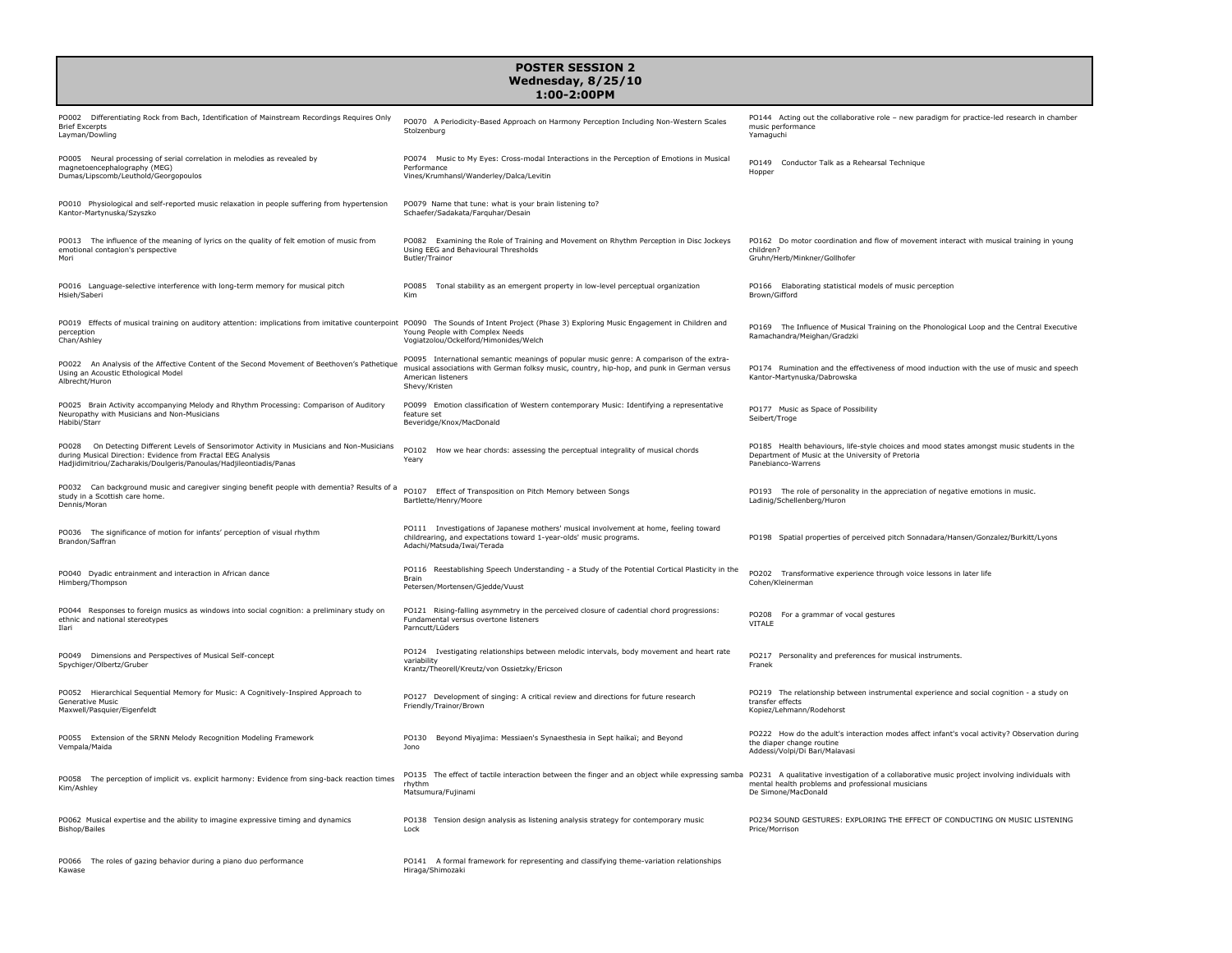## **POSTER SESSION 2 Wednesday, 8/25/10**

## **1:00-2:00PM**

| PO002 Differentiating Rock from Bach, Identification of Mainstream Recordings Requires Only<br><b>Brief Excerpts</b><br>Lavman/Dowling                                                                                               | PO070 A Periodicity-Based Approach on Harmony Perception Including Non-Western Scales<br>Stolzenburg                                                                                                                          | PO144 Acting out the collaborative role - new paradigm for practice-led research in chamber<br>music performance<br>Yamaguchi                                             |
|--------------------------------------------------------------------------------------------------------------------------------------------------------------------------------------------------------------------------------------|-------------------------------------------------------------------------------------------------------------------------------------------------------------------------------------------------------------------------------|---------------------------------------------------------------------------------------------------------------------------------------------------------------------------|
| PO005 Neural processing of serial correlation in melodies as revealed by<br>magnetoencephalography (MEG)<br>Dumas/Lipscomb/Leuthold/Georgopoulos                                                                                     | PO074 Music to My Eyes: Cross-modal Interactions in the Perception of Emotions in Musical<br>Performance<br>Vines/Krumhansl/Wanderley/Dalca/Levitin                                                                           | PO149<br>Conductor Talk as a Rehearsal Technique<br>Hopper                                                                                                                |
| PO010 Physiological and self-reported music relaxation in people suffering from hypertension<br>Kantor-Martynuska/Szyszko                                                                                                            | PO079 Name that tune: what is your brain listening to?<br>Schaefer/Sadakata/Farguhar/Desain                                                                                                                                   |                                                                                                                                                                           |
| PO013 The influence of the meaning of lyrics on the quality of felt emotion of music from<br>emotional contagion's perspective<br>Mori                                                                                               | PO082 Examining the Role of Training and Movement on Rhythm Perception in Disc Jockeys<br>Using EEG and Behavioural Thresholds<br>Butler/Trainor                                                                              | PO162 Do motor coordination and flow of movement interact with musical training in young<br>children?<br>Gruhn/Herb/Minkner/Gollhofer                                     |
| PO016 Language-selective interference with long-term memory for musical pitch<br>Hsieh/Saberi                                                                                                                                        | Tonal stability as an emergent property in low-level perceptual organization<br>PO085<br>Kim                                                                                                                                  | PO166 Elaborating statistical models of music perception<br>Brown/Gifford                                                                                                 |
| PO019 Effects of musical training on auditory attention: implications from imitative counterpoint PO090 The Sounds of Intent Project (Phase 3) Exploring Music Engagement in Children and<br>perception<br>Chan/Ashley               | Young People with Complex Needs<br>Vogiatzolou/Ockelford/Himonides/Welch                                                                                                                                                      | PO169 The Influence of Musical Training on the Phonological Loop and the Central Executive<br>Ramachandra/Meighan/Gradzki                                                 |
| PO022 An Analysis of the Affective Content of the Second Movement of Beethoven's Pathetique<br>Using an Acoustic Ethological Model<br>Albrecht/Huron                                                                                 | PO095 International semantic meanings of popular music genre: A comparison of the extra-<br>musical associations with German folksy music, country, hip-hop, and punk in German versus<br>American listeners<br>Shevy/Kristen | PO174 Rumination and the effectiveness of mood induction with the use of music and speech<br>Kantor-Martynuska/Dabrowska                                                  |
| PO025 Brain Activity accompanying Melody and Rhythm Processing: Comparison of Auditory<br>Neuropathy with Musicians and Non-Musicians<br>Habibi/Starr                                                                                | PO099 Emotion classification of Western contemporary Music: Identifying a representative<br>feature set<br>Beveridge/Knox/MacDonald                                                                                           | PO177 Music as Space of Possibility<br>Seibert/Troge                                                                                                                      |
| PO028<br>On Detecting Different Levels of Sensorimotor Activity in Musicians and Non-Musicians<br>during Musical Direction: Evidence from Fractal EEG Analysis<br>Hadjidimitriou/Zacharakis/Doulgeris/Panoulas/Hadjileontiadis/Panas | PO102<br>How we hear chords: assessing the perceptual integrality of musical chords<br>Yearv                                                                                                                                  | PO185 Health behaviours, life-style choices and mood states amongst music students in the<br>Department of Music at the University of Pretoria<br>Panebianco-Warrens      |
| PO032 Can background music and caregiver singing benefit people with dementia? Results of a<br>study in a Scottish care home.<br>Dennis/Moran                                                                                        | PO107 Effect of Transposition on Pitch Memory between Songs<br>Bartlette/Henry/Moore                                                                                                                                          | PO193 The role of personality in the appreciation of negative emotions in music.<br>Ladiniq/Schellenberg/Huron                                                            |
| PO036 The significance of motion for infants' perception of visual rhythm<br>Brandon/Saffran                                                                                                                                         | PO111 Investigations of Japanese mothers' musical involvement at home, feeling toward<br>childrearing, and expectations toward 1-year-olds' music programs.<br>Adachi/Matsuda/Iwai/Terada                                     | PO198 Spatial properties of perceived pitch Sonnadara/Hansen/Gonzalez/Burkitt/Lyons                                                                                       |
| PO040 Dyadic entrainment and interaction in African dance<br>Himberg/Thompson                                                                                                                                                        | PO116 Reestablishing Speech Understanding - a Study of the Potential Cortical Plasticity in the<br><b>Brain</b><br>Petersen/Mortensen/Gjedde/Vuust                                                                            | PO202 Transformative experience through voice lessons in later life<br>Cohen/Kleinerman                                                                                   |
| PO044 Responses to foreign musics as windows into social cognition: a preliminary study on<br>ethnic and national stereotynes<br>Ilari                                                                                               | PO121 Rising-falling asymmetry in the perceived closure of cadential chord progressions:<br>Fundamental versus overtone listeners<br>Parncutt/Lüders                                                                          | PO208<br>For a grammar of vocal gestures<br>VITALE                                                                                                                        |
| PO049 Dimensions and Perspectives of Musical Self-concept<br>Spychiger/Olbertz/Gruber                                                                                                                                                | PO124 Ivestigating relationships between melodic intervals, body movement and heart rate<br>variability<br>Krantz/Theorell/Kreutz/von Ossietzky/Ericson                                                                       | PO217 Personality and preferences for musical instruments.<br>Franek                                                                                                      |
| PO052 Hierarchical Sequential Memory for Music: A Cognitively-Inspired Approach to<br>Generative Music<br>Maxwell/Pasquier/Eigenfeldt                                                                                                | PO127 Development of singing: A critical review and directions for future research<br>Friendly/Trainor/Brown                                                                                                                  | PO219 The relationship between instrumental experience and social cognition - a study on<br>transfer effects<br>Kopiez/Lehmann/Rodehorst                                  |
| PO055 Extension of the SRNN Melody Recognition Modeling Framework<br>Vempala/Maida                                                                                                                                                   | PO130<br>Beyond Miyajima: Messiaen's Synaesthesia in Sept haïkaï; and Beyond<br>Jono                                                                                                                                          | PO222 How do the adult's interaction modes affect infant's vocal activity? Observation during<br>the diaper change routine<br>Addessi/Volpi/Di Bari/Malavasi              |
| PO058 The perception of implicit vs. explicit harmony: Evidence from sing-back reaction times<br>Kim/Ashley                                                                                                                          | PO135 The effect of tactile interaction between the finger and an object while expressing samba<br>rhythm<br>Matsumura/Fujinami                                                                                               | PO231 A qualitative investigation of a collaborative music project involving individuals with<br>mental health problems and professional musicians<br>De Simone/MacDonald |
| PO062 Musical expertise and the ability to imagine expressive timing and dynamics<br><b>Bishop/Bailes</b>                                                                                                                            | PO138 Tension design analysis as listening analysis strategy for contemporary music<br>Lock                                                                                                                                   | PO234 SOUND GESTURES: EXPLORING THE EFFECT OF CONDUCTING ON MUSIC LISTENING<br>Price/Morrison                                                                             |
| PO066 The roles of gazing behavior during a piano duo performance<br>Kawase                                                                                                                                                          | PO141 A formal framework for representing and classifying theme-variation relationships<br>Hiraga/Shimozaki                                                                                                                   |                                                                                                                                                                           |